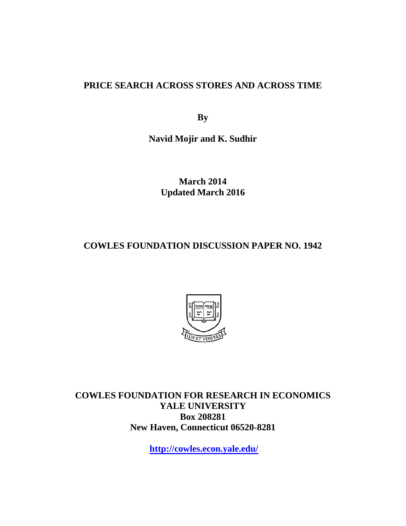# **PRICE SEARCH ACROSS STORES AND ACROSS TIME**

**By**

**Navid Mojir and K. Sudhir**

**March 2014 Updated March 2016**

# **COWLES FOUNDATION DISCUSSION PAPER NO. 1942**



**COWLES FOUNDATION FOR RESEARCH IN ECONOMICS YALE UNIVERSITY Box 208281 New Haven, Connecticut 06520-8281**

**<http://cowles.econ.yale.edu/>**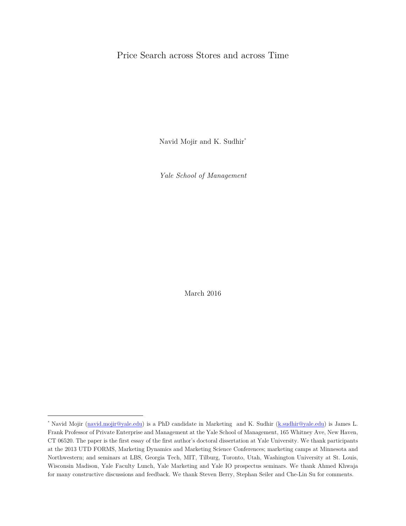## Price Search across Stores and across Time

Navid Mojir and K. Sudhir\*

*Yale School of Management*

March 2016

<sup>\*</sup> Navid Mojir (navid.mojir@yale.edu) is a PhD candidate in Marketing and K. Sudhir (k.sudhir@yale.edu) is James L. Frank Professor of Private Enterprise and Management at the Yale School of Management, 165 Whitney Ave, New Haven, CT 06520. The paper is the first essay of the first author's doctoral dissertation at Yale University. We thank participants at the 2013 UTD FORMS, Marketing Dynamics and Marketing Science Conferences; marketing camps at Minnesota and Northwestern; and seminars at LBS, Georgia Tech, MIT, Tilburg, Toronto, Utah, Washington University at St. Louis, Wisconsin Madison, Yale Faculty Lunch, Yale Marketing and Yale IO prospectus seminars. We thank Ahmed Khwaja for many constructive discussions and feedback. We thank Steven Berry, Stephan Seiler and Che-Lin Su for comments.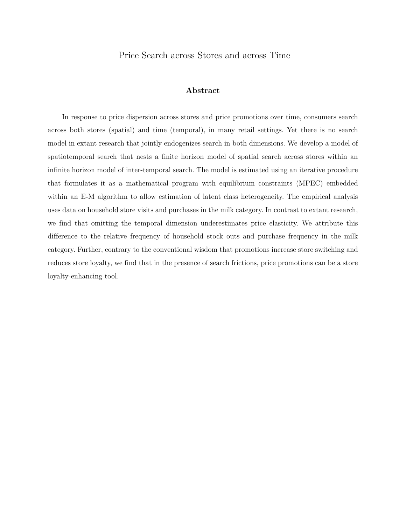## Price Search across Stores and across Time

### **Abstract**

In response to price dispersion across stores and price promotions over time, consumers search across both stores (spatial) and time (temporal), in many retail settings. Yet there is no search model in extant research that jointly endogenizes search in both dimensions. We develop a model of spatiotemporal search that nests a finite horizon model of spatial search across stores within an infinite horizon model of inter-temporal search. The model is estimated using an iterative procedure that formulates it as a mathematical program with equilibrium constraints (MPEC) embedded within an E-M algorithm to allow estimation of latent class heterogeneity. The empirical analysis uses data on household store visits and purchases in the milk category. In contrast to extant research, we find that omitting the temporal dimension underestimates price elasticity. We attribute this difference to the relative frequency of household stock outs and purchase frequency in the milk category. Further, contrary to the conventional wisdom that promotions increase store switching and reduces store loyalty, we find that in the presence of search frictions, price promotions can be a store loyalty-enhancing tool.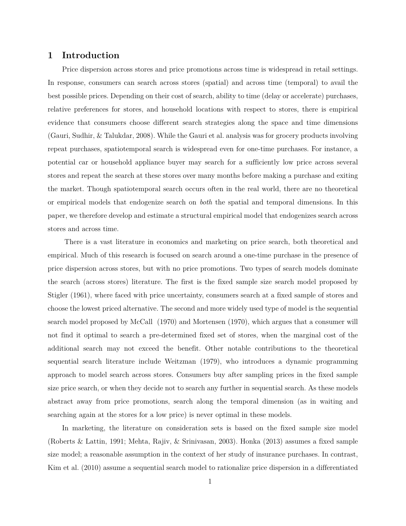### **1 Introduction**

Price dispersion across stores and price promotions across time is widespread in retail settings. In response, consumers can search across stores (spatial) and across time (temporal) to avail the best possible prices. Depending on their cost of search, ability to time (delay or accelerate) purchases, relative preferences for stores, and household locations with respect to stores, there is empirical evidence that consumers choose different search strategies along the space and time dimensions (Gauri, Sudhir, & Talukdar, 2008). While the Gauri et al. analysis was for grocery products involving repeat purchases, spatiotemporal search is widespread even for one-time purchases. For instance, a potential car or household appliance buyer may search for a sufficiently low price across several stores and repeat the search at these stores over many months before making a purchase and exiting the market. Though spatiotemporal search occurs often in the real world, there are no theoretical or empirical models that endogenize search on *both* the spatial and temporal dimensions. In this paper, we therefore develop and estimate a structural empirical model that endogenizes search across stores and across time.

 There is a vast literature in economics and marketing on price search, both theoretical and empirical. Much of this research is focused on search around a one-time purchase in the presence of price dispersion across stores, but with no price promotions. Two types of search models dominate the search (across stores) literature. The first is the fixed sample size search model proposed by Stigler (1961), where faced with price uncertainty, consumers search at a fixed sample of stores and choose the lowest priced alternative. The second and more widely used type of model is the sequential search model proposed by McCall (1970) and Mortensen (1970), which argues that a consumer will not find it optimal to search a pre-determined fixed set of stores, when the marginal cost of the additional search may not exceed the benefit. Other notable contributions to the theoretical sequential search literature include Weitzman (1979), who introduces a dynamic programming approach to model search across stores. Consumers buy after sampling prices in the fixed sample size price search, or when they decide not to search any further in sequential search. As these models abstract away from price promotions, search along the temporal dimension (as in waiting and searching again at the stores for a low price) is never optimal in these models.

In marketing, the literature on consideration sets is based on the fixed sample size model (Roberts & Lattin, 1991; Mehta, Rajiv, & Srinivasan, 2003). Honka (2013) assumes a fixed sample size model; a reasonable assumption in the context of her study of insurance purchases. In contrast, Kim et al. (2010) assume a sequential search model to rationalize price dispersion in a differentiated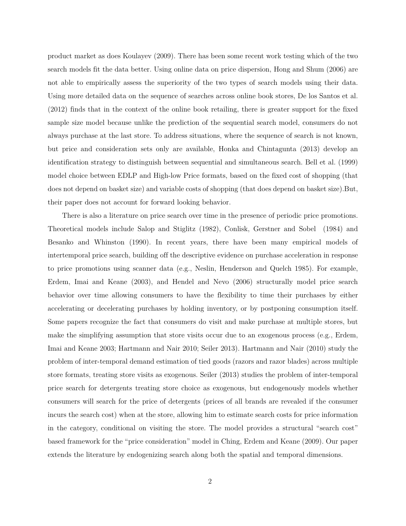product market as does Koulayev (2009). There has been some recent work testing which of the two search models fit the data better. Using online data on price dispersion, Hong and Shum (2006) are not able to empirically assess the superiority of the two types of search models using their data. Using more detailed data on the sequence of searches across online book stores, De los Santos et al. (2012) finds that in the context of the online book retailing, there is greater support for the fixed sample size model because unlike the prediction of the sequential search model, consumers do not always purchase at the last store. To address situations, where the sequence of search is not known, but price and consideration sets only are available, Honka and Chintagunta (2013) develop an identification strategy to distinguish between sequential and simultaneous search. Bell et al. (1999) model choice between EDLP and High-low Price formats, based on the fixed cost of shopping (that does not depend on basket size) and variable costs of shopping (that does depend on basket size).But, their paper does not account for forward looking behavior.

There is also a literature on price search over time in the presence of periodic price promotions. Theoretical models include Salop and Stiglitz (1982), Conlisk, Gerstner and Sobel (1984) and Besanko and Whinston (1990). In recent years, there have been many empirical models of intertemporal price search, building off the descriptive evidence on purchase acceleration in response to price promotions using scanner data (e.g., Neslin, Henderson and Quelch 1985). For example, Erdem, Imai and Keane (2003), and Hendel and Nevo (2006) structurally model price search behavior over time allowing consumers to have the flexibility to time their purchases by either accelerating or decelerating purchases by holding inventory, or by postponing consumption itself. Some papers recognize the fact that consumers do visit and make purchase at multiple stores, but make the simplifying assumption that store visits occur due to an exogenous process (e.g., Erdem, Imai and Keane 2003; Hartmann and Nair 2010; Seiler 2013). Hartmann and Nair (2010) study the problem of inter-temporal demand estimation of tied goods (razors and razor blades) across multiple store formats, treating store visits as exogenous. Seiler (2013) studies the problem of inter-temporal price search for detergents treating store choice as exogenous, but endogenously models whether consumers will search for the price of detergents (prices of all brands are revealed if the consumer incurs the search cost) when at the store, allowing him to estimate search costs for price information in the category, conditional on visiting the store. The model provides a structural "search cost" based framework for the "price consideration" model in Ching, Erdem and Keane (2009). Our paper extends the literature by endogenizing search along both the spatial and temporal dimensions.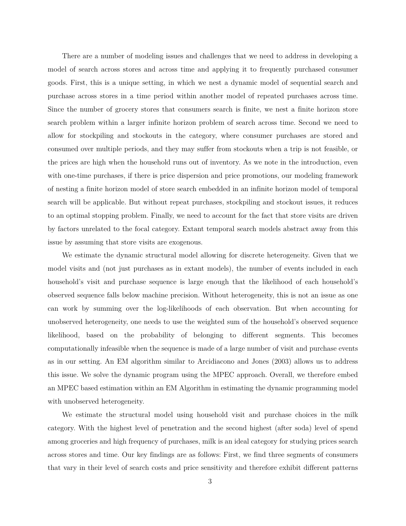There are a number of modeling issues and challenges that we need to address in developing a model of search across stores and across time and applying it to frequently purchased consumer goods. First, this is a unique setting, in which we nest a dynamic model of sequential search and purchase across stores in a time period within another model of repeated purchases across time. Since the number of grocery stores that consumers search is finite, we nest a finite horizon store search problem within a larger infinite horizon problem of search across time. Second we need to allow for stockpiling and stockouts in the category, where consumer purchases are stored and consumed over multiple periods, and they may suffer from stockouts when a trip is not feasible, or the prices are high when the household runs out of inventory. As we note in the introduction, even with one-time purchases, if there is price dispersion and price promotions, our modeling framework of nesting a finite horizon model of store search embedded in an infinite horizon model of temporal search will be applicable. But without repeat purchases, stockpiling and stockout issues, it reduces to an optimal stopping problem. Finally, we need to account for the fact that store visits are driven by factors unrelated to the focal category. Extant temporal search models abstract away from this issue by assuming that store visits are exogenous.

We estimate the dynamic structural model allowing for discrete heterogeneity. Given that we model visits and (not just purchases as in extant models), the number of events included in each household's visit and purchase sequence is large enough that the likelihood of each household's observed sequence falls below machine precision. Without heterogeneity, this is not an issue as one can work by summing over the log-likelihoods of each observation. But when accounting for unobserved heterogeneity, one needs to use the weighted sum of the household's observed sequence likelihood, based on the probability of belonging to different segments. This becomes computationally infeasible when the sequence is made of a large number of visit and purchase events as in our setting. An EM algorithm similar to Arcidiacono and Jones (2003) allows us to address this issue. We solve the dynamic program using the MPEC approach. Overall, we therefore embed an MPEC based estimation within an EM Algorithm in estimating the dynamic programming model with unobserved heterogeneity.

We estimate the structural model using household visit and purchase choices in the milk category. With the highest level of penetration and the second highest (after soda) level of spend among groceries and high frequency of purchases, milk is an ideal category for studying prices search across stores and time. Our key findings are as follows: First, we find three segments of consumers that vary in their level of search costs and price sensitivity and therefore exhibit different patterns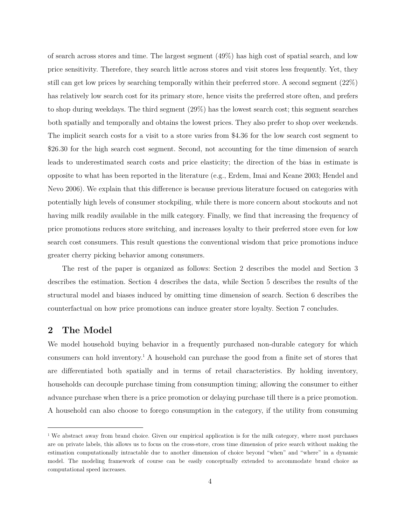of search across stores and time. The largest segment (49%) has high cost of spatial search, and low price sensitivity. Therefore, they search little across stores and visit stores less frequently. Yet, they still can get low prices by searching temporally within their preferred store. A second segment (22%) has relatively low search cost for its primary store, hence visits the preferred store often, and prefers to shop during weekdays. The third segment (29%) has the lowest search cost; this segment searches both spatially and temporally and obtains the lowest prices. They also prefer to shop over weekends. The implicit search costs for a visit to a store varies from \$4.36 for the low search cost segment to \$26.30 for the high search cost segment. Second, not accounting for the time dimension of search leads to underestimated search costs and price elasticity; the direction of the bias in estimate is opposite to what has been reported in the literature (e.g., Erdem, Imai and Keane 2003; Hendel and Nevo 2006). We explain that this difference is because previous literature focused on categories with potentially high levels of consumer stockpiling, while there is more concern about stockouts and not having milk readily available in the milk category. Finally, we find that increasing the frequency of price promotions reduces store switching, and increases loyalty to their preferred store even for low search cost consumers. This result questions the conventional wisdom that price promotions induce greater cherry picking behavior among consumers.

The rest of the paper is organized as follows: Section 2 describes the model and Section 3 describes the estimation. Section 4 describes the data, while Section 5 describes the results of the structural model and biases induced by omitting time dimension of search. Section 6 describes the counterfactual on how price promotions can induce greater store loyalty. Section 7 concludes.

## **2 The Model**

We model household buying behavior in a frequently purchased non-durable category for which consumers can hold inventory.1 A household can purchase the good from a finite set of stores that are differentiated both spatially and in terms of retail characteristics. By holding inventory, households can decouple purchase timing from consumption timing; allowing the consumer to either advance purchase when there is a price promotion or delaying purchase till there is a price promotion. A household can also choose to forego consumption in the category, if the utility from consuming

<sup>&</sup>lt;sup>1</sup> We abstract away from brand choice. Given our empirical application is for the milk category, where most purchases are on private labels, this allows us to focus on the cross-store, cross time dimension of price search without making the estimation computationally intractable due to another dimension of choice beyond "when" and "where" in a dynamic model. The modeling framework of course can be easily conceptually extended to accommodate brand choice as computational speed increases.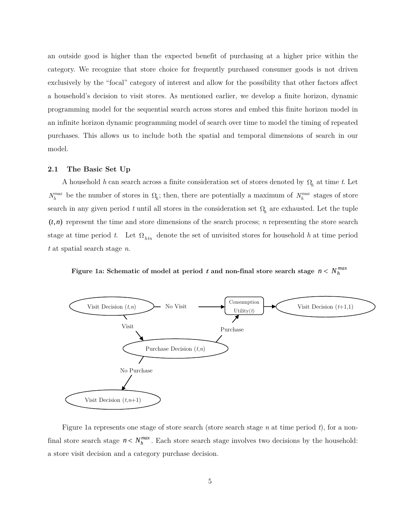an outside good is higher than the expected benefit of purchasing at a higher price within the category. We recognize that store choice for frequently purchased consumer goods is not driven exclusively by the "focal" category of interest and allow for the possibility that other factors affect a household's decision to visit stores. As mentioned earlier, we develop a finite horizon, dynamic programming model for the sequential search across stores and embed this finite horizon model in an infinite horizon dynamic programming model of search over time to model the timing of repeated purchases. This allows us to include both the spatial and temporal dimensions of search in our model.

#### **2.1 The Basic Set Up**

A household *h* can search across a finite consideration set of stores denoted by  $\Omega_h$  at time *t*. Let  $N_h^{max}$  be the number of stores in  $\Omega_h$ ; then, there are potentially a maximum of  $N_h^{max}$  stages of store search in any given period  $t$  until all stores in the consideration set  $\Omega_h$  are exhausted. Let the tuple  $(t, n)$  represent the time and store dimensions of the search process; *n* representing the store search stage at time period t. Let  $\Omega_{htn}$  denote the set of unvisited stores for household h at time period *t* at spatial search stage *n*.





Figure 1a represents one stage of store search (store search stage *n* at time period *t*), for a nonfinal store search stage  $n < N_h^{max}$ . Each store search stage involves two decisions by the household: a store visit decision and a category purchase decision.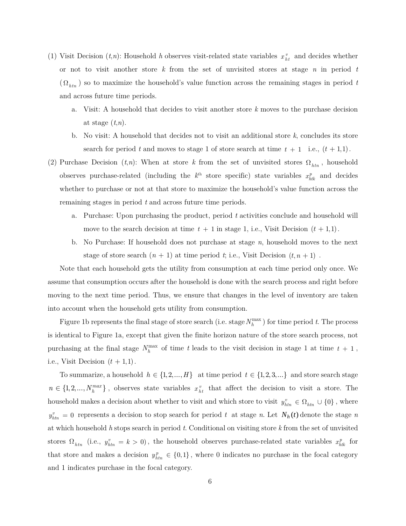- (1) Visit Decision  $(t, n)$ : Household *h* observes visit-related state variables  $x_{ht}^v$  and decides whether or not to visit another store *k* from the set of unvisited stores at stage *n* in period *t*   $(\Omega_{htn})$  so to maximize the household's value function across the remaining stages in period t and across future time periods.
	- a. Visit: A household that decides to visit another store *k* moves to the purchase decision at stage (*t*,*n*).
	- b. No visit: A household that decides not to visit an additional store *k*, concludes its store search for period *t* and moves to stage 1 of store search at time  $t + 1$  i.e.,  $(t + 1,1)$ .
- (2) Purchase Decision  $(t, n)$ : When at store *k* from the set of unvisited stores  $\Omega_{htn}$ , household observes purchase-related (including the  $k^{\text{th}}$  store specific) state variables  $x_{htk}^p$  and decides whether to purchase or not at that store to maximize the household's value function across the remaining stages in period *t* and across future time periods.
	- a. Purchase: Upon purchasing the product, period *t* activities conclude and household will move to the search decision at time  $t + 1$  in stage 1, i.e., Visit Decision  $(t + 1,1)$ .
	- b. No Purchase: If household does not purchase at stage *n*, household moves to the next stage of store search  $(n + 1)$  at time period *t*; i.e., Visit Decision  $(t, n + 1)$ .

Note that each household gets the utility from consumption at each time period only once. We assume that consumption occurs after the household is done with the search process and right before moving to the next time period. Thus, we ensure that changes in the level of inventory are taken into account when the household gets utility from consumption.

Figure 1b represents the final stage of store search (i.e. stage  $N_h^{\max}$ ) for time period *t*. The process is identical to Figure 1a, except that given the finite horizon nature of the store search process, not purchasing at the final stage  $N_h^{\max}$  of time  $t$  leads to the visit decision in stage 1 at time  $t + 1$ , i.e., Visit Decision  $(t + 1,1)$ .

To summarize, a household  $h \in \{1,2,...,H\}$  at time period  $t \in \{1,2,3,...\}$  and store search stage  $n \in \{1, 2, ..., N_h^{max}\}\$ , observes state variables  $x_{ht}^v$  that affect the decision to visit a store. The household makes a decision about whether to visit and which store to visit  $y_{\text{min}}^v \in \Omega_{\text{min}} \cup \{0\}$ , where  $y_{hh}^v = 0$  represents a decision to stop search for period t at stage n. Let  $N_h(t)$  denote the stage n at which household *h* stops search in period *t*. Conditional on visiting store *k* from the set of unvisited stores  $\Omega_{htn}$  (i.e.,  $y_{htn}^v = k > 0$ ), the household observes purchase-related state variables  $x_{htk}^p$  for that store and makes a decision  $y_{\text{min}}^p \in \{0,1\}$ , where 0 indicates no purchase in the focal category and 1 indicates purchase in the focal category.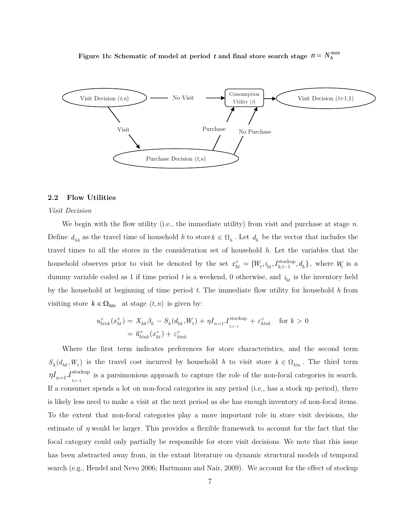



#### **2.2 Flow Utilities**

#### *Visit Decision*

We begin with the flow utility (i.e., the immediate utility) from visit and purchase at stage *n*. Define  $d_{hk}$  as the travel time of household *h* to store  $k \in \Omega_h$ . Let  $d_h$  be the vector that includes the travel times to all the stores in the consideration set of household *h*. Let the variables that the household observes prior to visit be denoted by the set  $x_{ht}^v = \{W_t, i_{ht}, I_{h,t-1}^{\text{stockup}}, d_h\}$ , where  $W_t$  is a dummy variable coded as 1 if time period  $t$  is a weekend, 0 otherwise, and  $i_{ht}$  is the inventory held by the household at beginning of time period *t*. The immediate flow utility for household *h* from visiting store  $k \in \Omega_{hm}$  at stage  $(t, n)$  is given by:

$$
u_{hhh}^v(x_{ht}^v) = X_{hk}\beta_h - S_h(d_{hk}, W_t) + \eta I_{n=1}J_{h,t-1}^{\text{stockup}} + \varepsilon_{hhh}^v \quad \text{for } k > 0
$$
  
=  $\overline{u}_{hhh}^v(x_{ht}^v) + \varepsilon_{hhh}^v$ 

Where the first term indicates preferences for store characteristics, and the second term  $S_h(d_{hk}, W_t)$  is the travel cost incurred by household *h* to visit store  $k \in \Omega_{htn}$ . The third term  $\eta I_{n=1}.I_{\frac{h,t-1}{h,t-1}}^{\mathrm{stoc}}$  $I_{n=1}$ ,  $I_{n,t-1}^{\text{stockup}}$  is a parsimonious approach to capture the role of the non-focal categories in search. If a consumer spends a lot on non-focal categories in any period (i.e., has a stock up period), there is likely less need to make a visit at the next period as she has enough inventory of non-focal items. To the extent that non-focal categories play a more important role in store visit decisions, the estimate of  $\eta$  would be larger. This provides a flexible framework to account for the fact that the focal category could only partially be responsible for store visit decisions. We note that this issue has been abstracted away from, in the extant literature on dynamic structural models of temporal search (e.g., Hendel and Nevo 2006; Hartmann and Nair, 2009). We account for the effect of stockup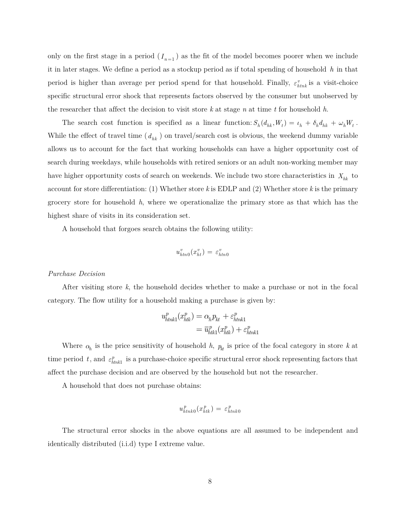only on the first stage in a period  $(I_{n=1})$  as the fit of the model becomes poorer when we include it in later stages. We define a period as a stockup period as if total spending of household *h* in that period is higher than average per period spend for that household. Finally,  $\varepsilon_{hhh}^v$  is a visit-choice specific structural error shock that represents factors observed by the consumer but unobserved by the researcher that affect the decision to visit store *k* at stage *n* at time *t* for household *h*.

The search cost function is specified as a linear function:  $S_h(d_{hk}, W_t) = \iota_h + \delta_h d_{hk} + \omega_h W_t$ . While the effect of travel time ( $d_{hk}$ ) on travel/search cost is obvious, the weekend dummy variable allows us to account for the fact that working households can have a higher opportunity cost of search during weekdays, while households with retired seniors or an adult non-working member may have higher opportunity costs of search on weekends. We include two store characteristics in  $X_{hk}$  to account for store differentiation: (1) Whether store *k* is EDLP and (2) Whether store *k* is the primary grocery store for household *h*, where we operationalize the primary store as that which has the highest share of visits in its consideration set.

A household that forgoes search obtains the following utility:

$$
u_{htn0}^v(x_{ht}^v) = \varepsilon_{htn0}^v
$$

#### *Purchase Decision*

After visiting store *k*, the household decides whether to make a purchase or not in the focal category. The flow utility for a household making a purchase is given by:

$$
u_{\text{hthk1}}^p(x_{\text{htk}}^p) = \alpha_h p_{kt} + \varepsilon_{\text{hthk1}}^p
$$
  
=  $\overline{u}_{\text{htk1}}^p(x_{\text{htk}}^p) + \varepsilon_{\text{hthk1}}^p$ 

Where  $\alpha_h$  is the price sensitivity of household *h*,  $p_{k}$  is price of the focal category in store *k* at time period  $t$ , and  $\varepsilon_{\text{thnk1}}^p$  is a purchase-choice specific structural error shock representing factors that affect the purchase decision and are observed by the household but not the researcher.

A household that does not purchase obtains:

$$
u_{htnk0}^p(x_{htk}^p) = \varepsilon_{htnk0}^p
$$

The structural error shocks in the above equations are all assumed to be independent and identically distributed (i.i.d) type I extreme value.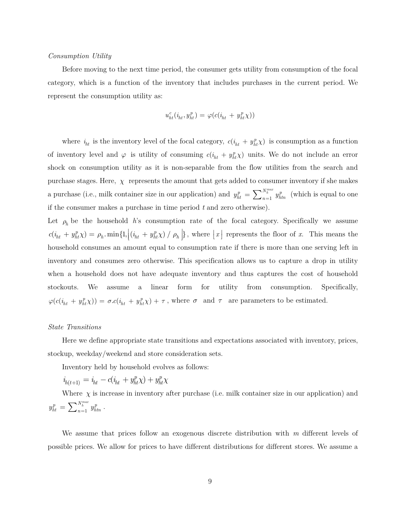#### *Consumption Utility*

Before moving to the next time period, the consumer gets utility from consumption of the focal category, which is a function of the inventory that includes purchases in the current period. We represent the consumption utility as:

$$
u_{ht}^c(i_{ht}, y_{ht}^p) = \varphi(c(i_{ht} + y_{ht}^p \chi))
$$

where  $i_{ht}$  is the inventory level of the focal category,  $c(i_{ht} + y_{ht}^p \chi)$  is consumption as a function of inventory level and  $\varphi$  is utility of consuming  $c(i_{ht} + y_{ht}^p \chi)$  units. We do not include an error shock on consumption utility as it is non-separable from the flow utilities from the search and purchase stages. Here,  $\chi$  represents the amount that gets added to consumer inventory if she makes a purchase (i.e., milk container size in our application) and  $y_{ht}^p = \sum_{n=1}^{N_h^{max}} y_{htn}^p$  (which is equal to one if the consumer makes a purchase in time period *t* and zero otherwise).

Let  $\rho_h$  be the household *h*'s consumption rate of the focal category. Specifically we assume  $c(i_{ht} + y_{ht}^p \chi) = \rho_h \cdot \min\{1, \left| (i_{ht} + y_{ht}^p \chi) / \rho_h \right| \}$ , where  $\lfloor x \rfloor$  represents the floor of *x*. This means the household consumes an amount equal to consumption rate if there is more than one serving left in inventory and consumes zero otherwise. This specification allows us to capture a drop in utility when a household does not have adequate inventory and thus captures the cost of household stockouts. We assume a linear form for utility from consumption. Specifically,  $\varphi(c(i_{ht} + y_{ht}^p \chi)) = \sigma.c(i_{ht} + y_{ht}^p \chi) + \tau$ , where  $\sigma$  and  $\tau$  are parameters to be estimated.

#### *State Transitions*

Here we define appropriate state transitions and expectations associated with inventory, prices, stockup, weekday/weekend and store consideration sets.

Inventory held by household evolves as follows:

$$
i_{h(t+1)} = i_{ht} - c(i_{ht} + y_{ht}^p \chi) + y_{ht}^p \chi
$$

Where  $\chi$  is increase in inventory after purchase (i.e. milk container size in our application) and 1  $y_{ht}^p = \sum\nolimits_{n = 1}^{N_h^{max}} y_{htn}^p$  .

We assume that prices follow an exogenous discrete distribution with *m* different levels of possible prices. We allow for prices to have different distributions for different stores. We assume a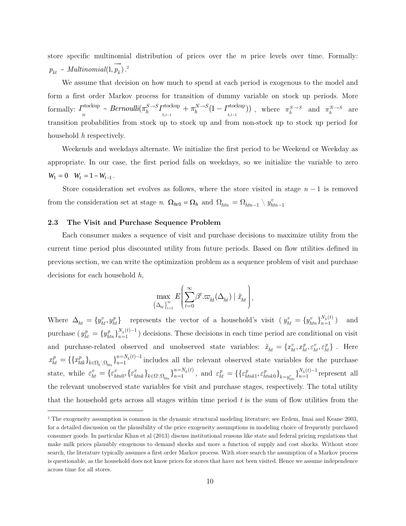store specific multinomial distribution of prices over the *m* price levels over time. Formally:  $p_{kt} \sim Multinomial(1, p_k)$ .<sup>2</sup>

We assume that decision on how much to spend at each period is exogenous to the model and form a first order Markov process for transition of dummy variable on stock up periods. More  $\begin{split} \text{formally: } I_{\scriptscriptstyle{ht}}^{\text{stockup}} \sim \textit{Bernoulli}(\pi_h^{S \rightarrow S} I_{\scriptscriptstyle{ht, t-1}}^{\text{stockup}} + \pi_h^{N \rightarrow S} (1-I_{\scriptscriptstyle{ht, t-1}}^{\text{stockup}})) \end{split}$  $I_h^{\text{stockup}} \sim Bernoulli(\pi_h^{S \to S} I_{h+1}^{\text{stockup}} + \pi_h^{N \to S} (1 - I_{h+1}^{\text{stockup}}))$ , where  $\pi_h^{S \to S}$  and  $\pi_h^{N \to S}$  are transition probabilities from stock up to stock up and from non-stock up to stock up period for household *h* respectively.

Weekends and weekdays alternate. We initialize the first period to be Weekend or Weekday as appropriate. In our case, the first period falls on weekdays, so we initialize the variable to zero  $W_1 = 0$   $W_t = 1 - W_{t-1}$ .

Store consideration set evolves as follows, where the store visited in stage  $n-1$  is removed from the consideration set at stage *n*.  $\Omega_{ht0} = \Omega_h$  and  $\Omega_{htn} = \Omega_{htn-1} \setminus y_{htn-1}^v$ 

#### **2.3 The Visit and Purchase Sequence Problem**

Each consumer makes a sequence of visit and purchase decisions to maximize utility from the current time period plus discounted utility from future periods. Based on flow utilities defined in previous section, we can write the optimization problem as a sequence problem of visit and purchase decisions for each household *h,*

$$
\max_{\left\{\Delta_{ht}\right\}_{t=1}^{\infty}} E\left(\sum_{t=0}^{\infty} \beta^t . \varpi_{ht}(\Delta_{ht}) \mid \tilde{x}_{ht}\right),
$$

Where  $\Delta_{ht} = \{y_{ht}^v, y_{ht}^p\}$  represents the vector of a household's visit ( $y_{ht}^v = \{y_{htn}^v\}_{n=1}^{N_h(t)}$ ) and purchase  $(y_{ht}^p = \{y_{htn}^p\}_{n=1}^{N_h(t)-1})$  decisions. These decisions in each time period are conditional on visit and purchase-related observed and unobserved state variables:  $\tilde{x}_{ht} = \{x_{ht}^v, x_{ht}^p, \varepsilon_{ht}^v, \varepsilon_{ht}^p\}$ . Here  $x_{ht}^p = \left\{ \{x_{htk}^p\}_{k \in \Omega_k \setminus \Omega_{b,b}} \right\}_{n=1}^{n=N_h(t)-1}$  includes all the relevant observed state variables for the purchase state, while  $\varepsilon_{ht}^v = \{\varepsilon_{hhh}^v, \{ \varepsilon_{hh}^v \}_{k \in \Omega \setminus \Omega_{hh}} \}_{n=1}^{n=N_h(t)}$  $\epsilon_{ht}^v = \{\epsilon_{htn0}^v, \{\epsilon_{htnk}^v\}_{k \in \Omega \setminus \Omega_{htn}}\}_{n=1}^{n=N_h(t)}$ , and  $\epsilon_{ht}^p = \{\{\epsilon_{htnk1}^p, \epsilon_{htnk0}^p\}_{k=y_{htn}^v}\}_{n=1}^{N_h(t)-1}$  $\varepsilon_{ht}^p=\{\{\varepsilon_{\textit{htnk1}}^p,\varepsilon_{\textit{htnk0}}^p\}_{k=y_{\textit{hr}}^v}\}_{n=1}^{N_h(t)-1}$  represent all the relevant unobserved state variables for visit and purchase stages, respectively. The total utility that the household gets across all stages within time period *t* is the sum of flow utilities from the

<sup>&</sup>lt;sup>2</sup> The exogeneity assumption is common in the dynamic structural modeling literature; see Erdem, Imai and Keane 2003, for a detailed discussion on the plausibility of the price exogeneity assumptions in modeling choice of frequently purchased consumer goods. In particular Khan et al (2013) discuss institutional reasons like state and federal pricing regulations that make milk prices plausibly exogenous to demand shocks and more a function of supply and cost shocks. Without store search, the literature typically assumes a first order Markov process. With store search the assumption of a Markov process is questionable, as the household does not know prices for stores that have not been visited. Hence we assume independence across time for all stores.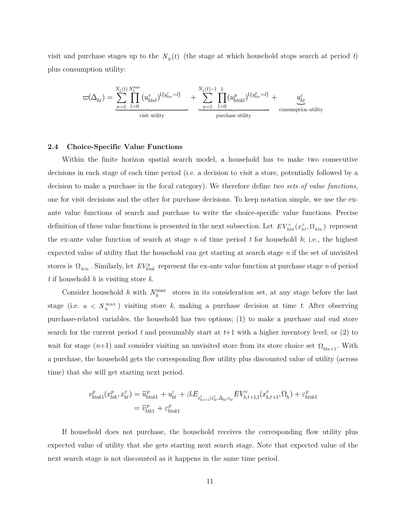visit and purchase stages up to the  $N_h(t)$  (the stage at which household stops search at period *t*) plus consumption utility:



#### **2.4 Choice-Specific Value Functions**

Within the finite horizon spatial search model, a household has to make two consecutive decisions in each stage of each time period (i.e. a decision to visit a store, potentially followed by a decision to make a purchase in the focal category). We therefore define *two sets of value functions*, one for visit decisions and the other for purchase decisions. To keep notation simple, we use the exante value functions of search and purchase to write the choice-specific value functions. Precise definition of these value functions is presented in the next subsection. Let  $EV_{htn}^v(x_{ht}^v, \Omega_{htn})$  represent the ex-ante value function of search at stage *n* of time period *t* for household *h*; i.e., the highest expected value of utility that the household can get starting at search stage *n* if the set of unvisited stores is  $\Omega_{hhn}$ . Similarly, let  $EV_{hhhk}^p$  represent the ex-ante value function at purchase stage *n* of period *t* if household *h* is visiting store *k*.

Consider household *h* with  $N_h^{\max}$  stores in its consideration set, at any stage before the last stage (i.e.  $n \le N_h^{\max}$ ) visiting store *k*, making a purchase decision at time *t*. After observing purchase-related variables, the household has two options; (1) to make a purchase and end store search for the current period *t* and presumably start at *t*+1 with a higher inventory level, or (2) to wait for stage  $(n+1)$  and consider visiting an unvisited store from its store choice set  $\Omega_{\text{htn}+1}$ . With a purchase, the household gets the corresponding flow utility plus discounted value of utility (across time) that she will get starting next period.

$$
v_{\text{hth}k1}^p(x_{\text{htk}}^p, x_{\text{h}t}^v) = \overline{u}_{\text{hth}k1}^p + u_{\text{h}t}^c + \beta \cdot E_{x_{\text{h},t+1}^v | x_{\text{h}t}^v, \Delta_{\text{h}t}, \epsilon_{\text{h}t}} E V_{\text{h},t+1,1}^v(x_{\text{h},t+1}^v, \Omega_h) + \varepsilon_{\text{hth}k1}^p
$$
  
=  $\overline{v}_{\text{h}tk1}^p + \varepsilon_{\text{h}tnk1}^p$ 

If household does not purchase, the household receives the corresponding flow utility plus expected value of utility that she gets starting next search stage. Note that expected value of the next search stage is not discounted as it happens in the same time period.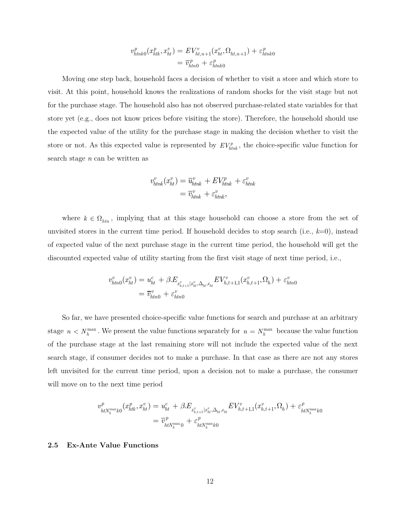$$
v_{htnk0}^p(x_{htk}^p, x_{ht}^v) = EV_{ht,n+1}^v(x_{ht}^v, \Omega_{ht,n+1}) + \varepsilon_{htnk0}^p
$$
  
=  $\overline{v}_{htn0}^p + \varepsilon_{htnk0}^p$ 

Moving one step back, household faces a decision of whether to visit a store and which store to visit. At this point, household knows the realizations of random shocks for the visit stage but not for the purchase stage. The household also has not observed purchase-related state variables for that store yet (e.g., does not know prices before visiting the store). Therefore, the household should use the expected value of the utility for the purchase stage in making the decision whether to visit the store or not. As this expected value is represented by  $EV_{ktnk}^p$ , the choice-specific value function for search stage *n* can be written as

$$
v_{\text{htnk}}^v(x_{\text{h}t}^v) = \overline{u}_{\text{htnk}}^v + EV_{\text{htnk}}^p + \varepsilon_{\text{htnk}}^v
$$

$$
= \overline{v}_{\text{htnk}}^v + \varepsilon_{\text{htnk}}^v,
$$

where  $k \in \Omega_{\text{htn}}$ , implying that at this stage household can choose a store from the set of unvisited stores in the current time period. If household decides to stop search (i.e.,  $k=0$ ), instead of expected value of the next purchase stage in the current time period, the household will get the discounted expected value of utility starting from the first visit stage of next time period, i.e.,

$$
v_{htn0}^v(x_{ht}^v) = u_{ht}^c + \beta \cdot E_{x_{h,t+1}^v | x_{ht}^v, \Delta_{ht}, \epsilon_{ht}} E V_{h,t+1,1}^v(x_{h,t+1}^v, \Omega_h) + \epsilon_{htn0}^v
$$
  
=  $\overline{v}_{htn0}^v + \epsilon_{htn0}^v$ 

So far, we have presented choice-specific value functions for search and purchase at an arbitrary stage  $n < N_h^{\max}$ . We present the value functions separately for  $n = N_h^{\max}$  because the value function of the purchase stage at the last remaining store will not include the expected value of the next search stage, if consumer decides not to make a purchase. In that case as there are not any stores left unvisited for the current time period, upon a decision not to make a purchase, the consumer will move on to the next time period

$$
v_{htN_h^{max}k0}^p(x_{htk}^p, x_{ht}^v) = u_{ht}^c + \beta \cdot E_{x_{h,t+1}^v | x_{ht}^v, \Delta_{ht}, \epsilon_{ht}} E V_{h,t+1,1}^v(x_{h,t+1}^v, \Omega_h) + \epsilon_{htN_h^{max}k0}^p
$$
  
=  $\overline{v}_{htN_h^{max}0}^p + \epsilon_{htN_h^{max}k0}^p$ 

#### **2.5 Ex-Ante Value Functions**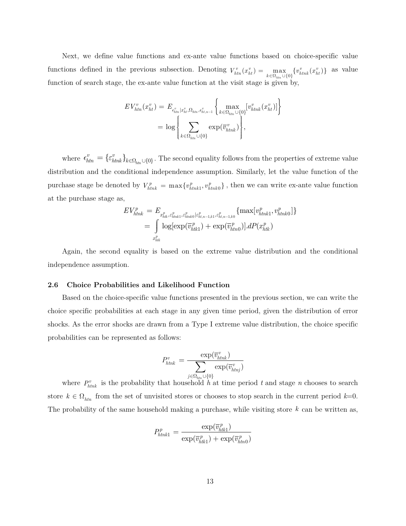Next, we define value functions and ex-ante value functions based on choice-specific value functions defined in the previous subsection. Denoting  $V_{hh}^v(x_{ht}^v) = \max_{k \in \Omega_{hh} \cup \{0\}} \{v_{hhh}^v(x_{ht}^v)\}$ *htn*  $V_{htn}^v(x_{ht}^v) = \max_{k \in \Omega_{htn}} \{v_{htnk}^v(x_{ht}^v)\}\$ as value function of search stage, the ex-ante value function at the visit stage is given by,

$$
EV_{htn}^v(x_{ht}^v) = E_{\epsilon_{htn}^v|x_{ht}^v,\Omega_{htn},\epsilon_{ht,n-1}^v} \left\{ \max_{k \in \Omega_{htn} \cup \{0\}} [v_{htnk}^v(x_{ht}^v)] \right\}
$$
  
=  $\log \left\{ \sum_{k \in \Omega_{htn} \cup \{0\}} \exp(\overline{v}_{htnk}^v) \right\},$ 

where  $\epsilon_{htn}^v = {\epsilon_{htnk}^v}_{htn}$ ,  ${\epsilon_{\Omega_{hh}} \cup \{0\}}$ . The second equality follows from the properties of extreme value distribution and the conditional independence assumption. Similarly, let the value function of the purchase stage be denoted by  $V_{htnk}^p = \max\{v_{htnk1}^p, v_{htnk0}^p\}$ , then we can write ex-ante value function at the purchase stage as,

$$
EV_{htnk}^{p} = E_{x_{htk}^{p}, \varepsilon_{htnk1}^{p}, \varepsilon_{htnk0}^{p} | \varepsilon_{ht,n-1,k1}^{p}, \varepsilon_{ht,n-1,k0}^{p}} \{ \max[v_{htnk1}^{p}, v_{htnk0}^{p}] \}
$$
  
= 
$$
\int_{x_{htk}^{p}} \log[\exp(\overline{v}_{htk1}^{p}) + \exp(\overline{v}_{htn0}^{p})].dP(x_{htk}^{p})
$$

Again, the second equality is based on the extreme value distribution and the conditional independence assumption.

#### **2.6 Choice Probabilities and Likelihood Function**

Based on the choice-specific value functions presented in the previous section, we can write the choice specific probabilities at each stage in any given time period, given the distribution of error shocks. As the error shocks are drawn from a Type I extreme value distribution, the choice specific probabilities can be represented as follows:

$$
P_{htnk}^{v} = \frac{\exp(\overline{v}_{htnk}^{v})}{\sum_{j \in \Omega_{htn} \cup \{0\}} \exp(\overline{v}_{htnj}^{v})}
$$

where  $P_{hthk}^v$  is the probability that household *h* at time period *t* and stage *n* chooses to search store  $k \in \Omega_{hh}$  from the set of unvisited stores or chooses to stop search in the current period  $k=0$ . The probability of the same household making a purchase, while visiting store  $k$  can be written as,

$$
P_{\text{htnk1}}^p = \frac{\exp(\overline{v}_{\text{htk1}}^p)}{\exp(\overline{v}_{\text{htk1}}^p) + \exp(\overline{v}_{\text{htn0}}^p)}
$$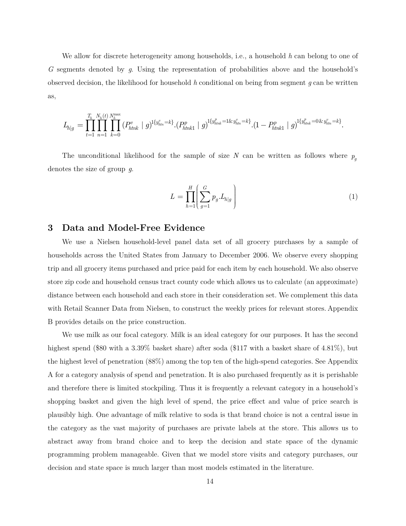We allow for discrete heterogeneity among households, i.e., a household *h* can belong to one of *G* segments denoted by *g*. Using the representation of probabilities above and the household's observed decision, the likelihood for household *h* conditional on being from segment *g* can be written as,

$$
L_{h|g} = \prod_{t=1}^{T_h} \prod_{n=1}^{N_h(t)} \prod_{k=0}^{N_h^{max}} (P_{htnk}^v \mid g)^{1\{y_{htn}^v = k\}} \cdot (P_{htnk1}^p \mid g)^{1\{y_{htnk}^p = 1\& y_{hh}^v = k\}} \cdot (1 - P_{htnk1}^p \mid g)^{1\{y_{htnk}^p = 0\& y_{hh}^v = k\}}.
$$

The unconditional likelihood for the sample of size  $N$  can be written as follows where  $p_g$ denotes the size of group *g*.

$$
L = \prod_{h=1}^{H} \left( \sum_{g=1}^{G} p_g L_{h|g} \right)
$$
 (1)

### **3 Data and Model-Free Evidence**

We use a Nielsen household-level panel data set of all grocery purchases by a sample of households across the United States from January to December 2006. We observe every shopping trip and all grocery items purchased and price paid for each item by each household. We also observe store zip code and household census tract county code which allows us to calculate (an approximate) distance between each household and each store in their consideration set. We complement this data with Retail Scanner Data from Nielsen, to construct the weekly prices for relevant stores. Appendix B provides details on the price construction.

We use milk as our focal category. Milk is an ideal category for our purposes. It has the second highest spend (\$80 with a 3.39% basket share) after soda (\$117 with a basket share of 4.81%), but the highest level of penetration (88%) among the top ten of the high-spend categories. See Appendix A for a category analysis of spend and penetration. It is also purchased frequently as it is perishable and therefore there is limited stockpiling. Thus it is frequently a relevant category in a household's shopping basket and given the high level of spend, the price effect and value of price search is plausibly high. One advantage of milk relative to soda is that brand choice is not a central issue in the category as the vast majority of purchases are private labels at the store. This allows us to abstract away from brand choice and to keep the decision and state space of the dynamic programming problem manageable. Given that we model store visits and category purchases, our decision and state space is much larger than most models estimated in the literature.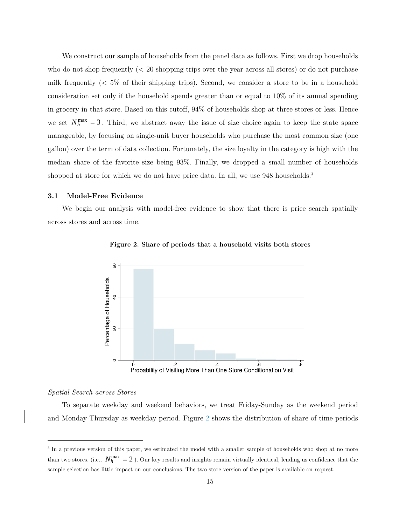We construct our sample of households from the panel data as follows. First we drop households who do not shop frequently  $\langle \langle 20 \rangle$  shopping trips over the year across all stores) or do not purchase milk frequently  $\langle 5\% \rangle$  of their shipping trips). Second, we consider a store to be in a household consideration set only if the household spends greater than or equal to 10% of its annual spending in grocery in that store. Based on this cutoff, 94% of households shop at three stores or less. Hence we set  $N_h^{\max} = 3$ . Third, we abstract away the issue of size choice again to keep the state space manageable, by focusing on single-unit buyer households who purchase the most common size (one gallon) over the term of data collection. Fortunately, the size loyalty in the category is high with the median share of the favorite size being 93%. Finally, we dropped a small number of households shopped at store for which we do not have price data. In all, we use 948 households.<sup>3</sup>

#### **3.1 Model-Free Evidence**

We begin our analysis with model-free evidence to show that there is price search spatially across stores and across time.



**Figure 2. Share of periods that a household visits both stores** 

#### *Spatial Search across Stores*

To separate weekday and weekend behaviors, we treat Friday-Sunday as the weekend period and Monday-Thursday as weekday period. Figure 2 shows the distribution of share of time periods

<sup>&</sup>lt;sup>3</sup> In a previous version of this paper, we estimated the model with a smaller sample of households who shop at no more than two stores. (i.e.,  $N_h^{\text{max}} = 2$ ). Our key results and insights remain virtually identical, lending us confidence that the sample selection has little impact on our conclusions. The two store version of the paper is available on request.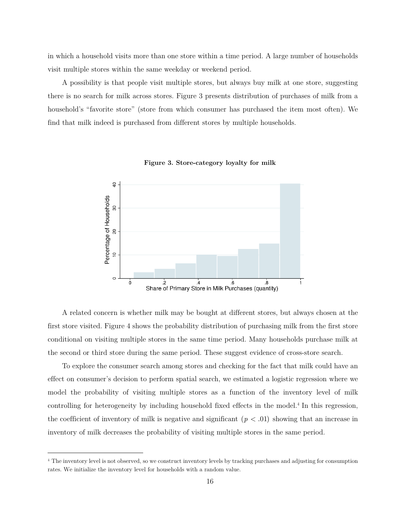in which a household visits more than one store within a time period. A large number of households visit multiple stores within the same weekday or weekend period.

A possibility is that people visit multiple stores, but always buy milk at one store, suggesting there is no search for milk across stores. Figure 3 presents distribution of purchases of milk from a household's "favorite store" (store from which consumer has purchased the item most often). We find that milk indeed is purchased from different stores by multiple households.



**Figure 3. Store-category loyalty for milk** 

A related concern is whether milk may be bought at different stores, but always chosen at the first store visited. Figure 4 shows the probability distribution of purchasing milk from the first store conditional on visiting multiple stores in the same time period. Many households purchase milk at the second or third store during the same period. These suggest evidence of cross-store search.

To explore the consumer search among stores and checking for the fact that milk could have an effect on consumer's decision to perform spatial search, we estimated a logistic regression where we model the probability of visiting multiple stores as a function of the inventory level of milk controlling for heterogeneity by including household fixed effects in the model.<sup>4</sup> In this regression, the coefficient of inventory of milk is negative and significant  $(p < .01)$  showing that an increase in inventory of milk decreases the probability of visiting multiple stores in the same period.

<sup>4</sup> The inventory level is not observed, so we construct inventory levels by tracking purchases and adjusting for consumption rates. We initialize the inventory level for households with a random value.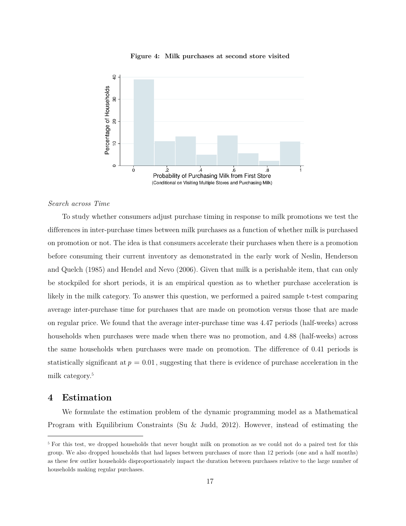

#### **Figure 4: Milk purchases at second store visited**

#### *Search across Time*

To study whether consumers adjust purchase timing in response to milk promotions we test the differences in inter-purchase times between milk purchases as a function of whether milk is purchased on promotion or not. The idea is that consumers accelerate their purchases when there is a promotion before consuming their current inventory as demonstrated in the early work of Neslin, Henderson and Quelch (1985) and Hendel and Nevo (2006). Given that milk is a perishable item, that can only be stockpiled for short periods, it is an empirical question as to whether purchase acceleration is likely in the milk category. To answer this question, we performed a paired sample t-test comparing average inter-purchase time for purchases that are made on promotion versus those that are made on regular price. We found that the average inter-purchase time was 4.47 periods (half-weeks) across households when purchases were made when there was no promotion, and 4.88 (half-weeks) across the same households when purchases were made on promotion. The difference of 0.41 periods is statistically significant at  $p = 0.01$ , suggesting that there is evidence of purchase acceleration in the milk category.5

## **4 Estimation**

We formulate the estimation problem of the dynamic programming model as a Mathematical Program with Equilibrium Constraints (Su & Judd, 2012). However, instead of estimating the

<sup>&</sup>lt;sup>5</sup> For this test, we dropped households that never bought milk on promotion as we could not do a paired test for this group. We also dropped households that had lapses between purchases of more than 12 periods (one and a half months) as these few outlier households disproportionately impact the duration between purchases relative to the large number of households making regular purchases.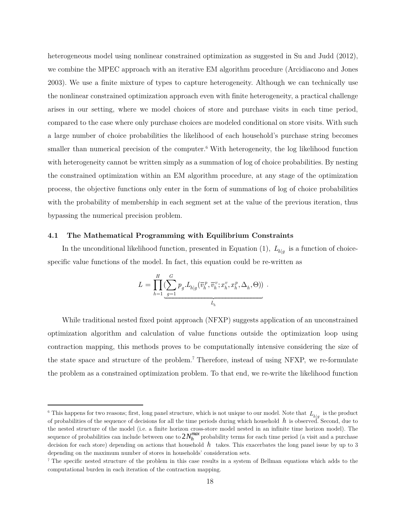heterogeneous model using nonlinear constrained optimization as suggested in Su and Judd (2012), we combine the MPEC approach with an iterative EM algorithm procedure (Arcidiacono and Jones 2003). We use a finite mixture of types to capture heterogeneity. Although we can technically use the nonlinear constrained optimization approach even with finite heterogeneity, a practical challenge arises in our setting, where we model choices of store and purchase visits in each time period, compared to the case where only purchase choices are modeled conditional on store visits. With such a large number of choice probabilities the likelihood of each household's purchase string becomes smaller than numerical precision of the computer.<sup>6</sup> With heterogeneity, the log likelihood function with heterogeneity cannot be written simply as a summation of log of choice probabilities. By nesting the constrained optimization within an EM algorithm procedure, at any stage of the optimization process, the objective functions only enter in the form of summations of log of choice probabilities with the probability of membership in each segment set at the value of the previous iteration, thus bypassing the numerical precision problem.

#### **4.1 The Mathematical Programming with Equilibrium Constraints**

In the unconditional likelihood function, presented in Equation (1),  $L_{h|g}$  is a function of choicespecific value functions of the model. In fact, this equation could be re-written as

$$
L = \prod_{h=1}^{H} \left( \sum_{g=1}^{G} p_g \cdot L_{h|g}(\overline{v}_h^p, \overline{v}_h^v; x_h^v, x_h^p, \Delta_h, \Theta) \right) \ .
$$
  

$$
L_h
$$

While traditional nested fixed point approach (NFXP) suggests application of an unconstrained optimization algorithm and calculation of value functions outside the optimization loop using contraction mapping, this methods proves to be computationally intensive considering the size of the state space and structure of the problem.<sup>7</sup> Therefore, instead of using NFXP, we re-formulate the problem as a constrained optimization problem. To that end, we re-write the likelihood function

 $^6$  This happens for two reasons; first, long panel structure, which is not unique to our model. Note that  $L_{h|g}$  is the product of probabilities of the sequence of decisions for all the time periods during which household *h* is observed. Second, due to the nested structure of the model (i.e. a finite horizon cross-store model nested in an infinite time horizon model). The sequence of probabilities can include between one to  $2N_h^{max}$  probability terms for each time period (a visit and a purchase decision for each store) depending on actions that household *h* takes. This exacerbates the long panel issue by up to 3 depending on the maximum number of stores in households' consideration sets.

<sup>7</sup> The specific nested structure of the problem in this case results in a system of Bellman equations which adds to the computational burden in each iteration of the contraction mapping.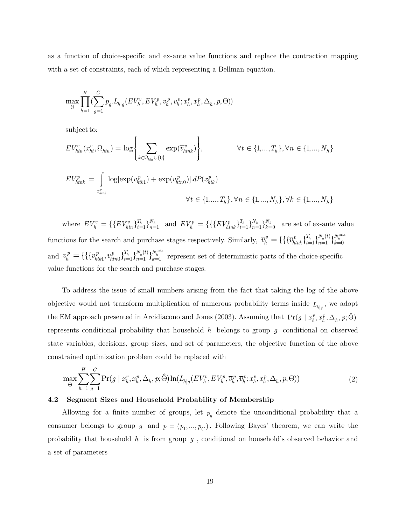as a function of choice-specific and ex-ante value functions and replace the contraction mapping with a set of constraints, each of which representing a Bellman equation.

$$
\max_{\Theta} \prod_{h=1}^H (\sum_{g=1}^G p_g \cdot L_{h|g}(EV_h^v, EV_h^p, \overline{v}_h^p, \overline{v}_h^v; x_h^v, x_h^p, \Delta_h, p, \Theta))
$$

subject to:

$$
EV_{htn}^v(x_{ht}^v, \Omega_{htn}) = \log \left\{ \sum_{k \in \Omega_{htn} \cup \{0\}} \exp(\overline{v}_{htnk}^v) \right\}, \qquad \forall t \in \{1, ..., T_h\}, \forall n \in \{1, ..., N_h\}
$$

$$
EV_{htnk}^{p} = \int_{x_{htnk}^{p}} \log[\exp(\overline{v}_{htk1}^{p}) + \exp(\overline{v}_{htn0}^{p})].dP(x_{htk}^{p})
$$
  

$$
\forall t \in \{1,...,T_{h}\}, \forall n \in \{1,...,N_{h}\}, \forall k \in \{1,...,N_{h}\}
$$

where  $EV_h^v = \{\{EV_{htn}^v\}_{t=1}^{T_h}\}_{n=1}^{N_h}$  and  $EV_h^p = \{\{\{EV_{htnk}^p\}_{t=1}^{T_h}\}_{n=1}^{N_h}\}_{k=0}^{N_h}$  are set of ex-ante value functions for the search and purchase stages respectively. Similarly,  $\overline{v}_h^v = \{\{\overline{v}_{hhh}^v\}_{h=1}^{T_h}\}_{h=1}^{N_h(t)}\}_{h=0}^{N_h^{max}}$ and  $\overline{v}_h^p = \{\{\{\overline{v}_{htk}^p, \overline{v}_{htn0}^p\}_{t=1}^{T_h}\}_{n=1}^{N_h(t)}\}_{k=1}^{N_h^{max}}$  represent set of deterministic parts of the choice-specific value functions for the search and purchase stages.

To address the issue of small numbers arising from the fact that taking the log of the above objective would not transform multiplication of numerous probability terms inside  $L_{h|g}$ , we adopt the EM approach presented in Arcidiacono and Jones (2003). Assuming that  $Pr(g \mid x_h^v, x_h^p, \Delta_h, p; \hat{\Theta})$ represents conditional probability that household *h* belongs to group *g* conditional on observed state variables, decisions, group sizes, and set of parameters, the objective function of the above constrained optimization problem could be replaced with

$$
\max_{\Theta} \sum_{h=1}^{H} \sum_{g=1}^{G} \Pr(g \mid x_h^v, x_h^p, \Delta_h, p; \hat{\Theta}) \ln(L_{h|g}(EV_h^v, EV_h^p, \overline{v}_h^p, \overline{v}_h^v; x_h^v, x_h^p, \Delta_h, p, \Theta))
$$
\n(2)

#### **4.2 Segment Sizes and Household Probability of Membership**

Allowing for a finite number of groups, let  $p_g$  denote the unconditional probability that a consumer belongs to group *g* and  $p = (p_1, ..., p_G)$ . Following Bayes' theorem, we can write the probability that household *h* is from group *g* , conditional on household's observed behavior and a set of parameters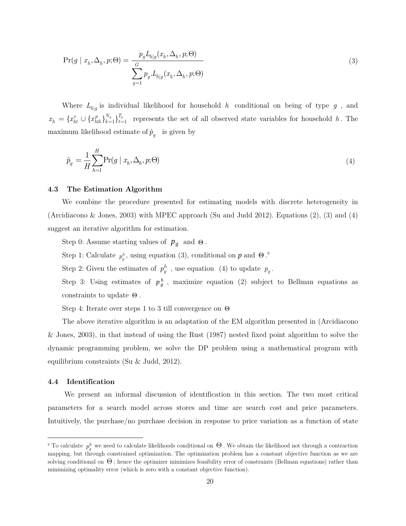$$
\Pr(g \mid x_h, \Delta_h, p; \Theta) = \frac{p_g L_{h|g}(x_h, \Delta_h, p; \Theta)}{\sum_{g=1}^{G} p_g L_{h|g}(x_h, \Delta_h, p; \Theta)}
$$
\n(3)

Where  $L_{h|g}$  is individual likelihood for household *h* conditional on being of type *g*, and  $x_h = \{x_{ht}^v \cup \{x_{htk}^p\}_{k=1}^{N_h}\}_{t=1}^{T_h}$  represents the set of all observed state variables for household *h*. The maximum likelihood estimate of  $\hat{p}_q$  is given by

$$
\hat{p}_g = \frac{1}{H} \sum_{h=1}^{H} \Pr(g \mid x_h, \Delta_h, p; \Theta)
$$
\n<sup>(4)</sup>

#### **4.3 The Estimation Algorithm**

We combine the procedure presented for estimating models with discrete heterogeneity in (Arcidiacono & Jones, 2003) with MPEC approach (Su and Judd 2012). Equations (2), (3) and (4) suggest an iterative algorithm for estimation.

Step 0: Assume starting values of  $p_g$  and  $\Theta$ .

Step 1: Calculate  $p_q^h$ , using equation (3), conditional on *p* and  $\Theta$ .<sup>8</sup>

Step 2: Given the estimates of  $p_g^h$ , use equation (4) to update  $p_g$ .

Step 3: Using estimates of  $p_g^h$ , maximize equation (2) subject to Bellman equations as constraints to update  $\Theta$ .

Step 4: Iterate over steps 1 to 3 till convergence on  $\Theta$ 

The above iterative algorithm is an adaptation of the EM algorithm presented in (Arcidiacono & Jones, 2003), in that instead of using the Rust (1987) nested fixed point algorithm to solve the dynamic programming problem, we solve the DP problem using a mathematical program with equilibrium constraints (Su & Judd, 2012).

#### **4.4 Identification**

 We present an informal discussion of identification in this section. The two most critical parameters for a search model across stores and time are search cost and price parameters. Intuitively, the purchase/no purchase decision in response to price variation as a function of state

<sup>&</sup>lt;sup>8</sup> To calculate  $p_g^h$  we need to calculate likelihoods conditional on  $\Theta$ . We obtain the likelihood not through a contraction mapping, but through constrained optimization. The optimization problem has a constant objective function as we are solving conditional on  $\Theta$ ; hence the optimizer minimizes feasibility error of constraints (Bellman equations) rather than minimizing optimality error (which is zero with a constant objective function).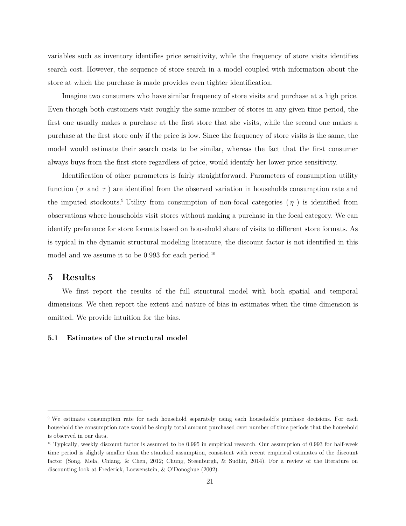variables such as inventory identifies price sensitivity, while the frequency of store visits identifies search cost. However, the sequence of store search in a model coupled with information about the store at which the purchase is made provides even tighter identification.

Imagine two consumers who have similar frequency of store visits and purchase at a high price. Even though both customers visit roughly the same number of stores in any given time period, the first one usually makes a purchase at the first store that she visits, while the second one makes a purchase at the first store only if the price is low. Since the frequency of store visits is the same, the model would estimate their search costs to be similar, whereas the fact that the first consumer always buys from the first store regardless of price, would identify her lower price sensitivity.

Identification of other parameters is fairly straightforward. Parameters of consumption utility function ( $\sigma$  and  $\tau$ ) are identified from the observed variation in households consumption rate and the imputed stockouts.<sup>9</sup> Utility from consumption of non-focal categories  $(\eta)$  is identified from observations where households visit stores without making a purchase in the focal category. We can identify preference for store formats based on household share of visits to different store formats. As is typical in the dynamic structural modeling literature, the discount factor is not identified in this model and we assume it to be 0.993 for each period.<sup>10</sup>

### **5 Results**

We first report the results of the full structural model with both spatial and temporal dimensions. We then report the extent and nature of bias in estimates when the time dimension is omitted. We provide intuition for the bias.

#### **5.1 Estimates of the structural model**

<sup>9</sup> We estimate consumption rate for each household separately using each household's purchase decisions. For each household the consumption rate would be simply total amount purchased over number of time periods that the household is observed in our data.

 $10$  Typically, weekly discount factor is assumed to be 0.995 in empirical research. Our assumption of 0.993 for half-week time period is slightly smaller than the standard assumption, consistent with recent empirical estimates of the discount factor (Song, Mela, Chiang, & Chen, 2012; Chung, Steenburgh, & Sudhir, 2014). For a review of the literature on discounting look at Frederick, Loewenstein, & O'Donoghue (2002).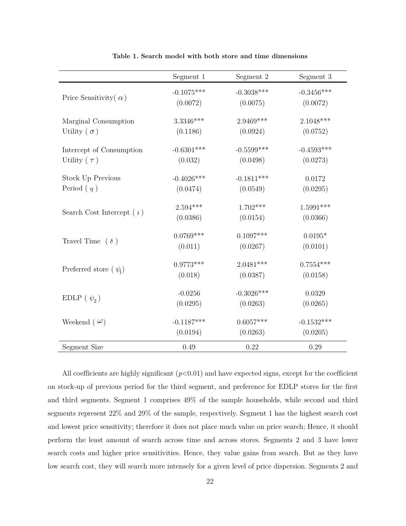|                                 | Segment 1    | Segment 2    | Segment 3    |
|---------------------------------|--------------|--------------|--------------|
|                                 | $-0.1075***$ | $-0.3038***$ | $-0.3456***$ |
| Price Sensitivity( $\alpha$ )   | (0.0072)     | (0.0075)     | (0.0072)     |
| Marginal Consumption            | $3.3346***$  | $2.9469***$  | $2.1048***$  |
| Utility ( $\sigma$ )            | (0.1186)     | (0.0924)     | (0.0752)     |
| Intercept of Consumption        | $-0.6301***$ | $-0.5599***$ | $-0.4593***$ |
| Utility ( $\tau$ )              | (0.032)      | (0.0498)     | (0.0273)     |
| <b>Stock Up Previous</b>        | $-0.4026***$ | $-0.1811***$ | 0.0172       |
| Period $(\eta)$                 | (0.0474)     | (0.0549)     | (0.0295)     |
|                                 | $2.594***$   | $1.702***$   | $1.5991***$  |
| Search Cost Intercept $(\iota)$ | (0.0386)     | (0.0154)     | (0.0366)     |
|                                 | $0.0769***$  | $0.1097***$  | $0.0195*$    |
| Travel Time $(\delta)$          | (0.011)      | (0.0267)     | (0.0101)     |
|                                 | $0.9773***$  | $2.0481***$  | $0.7554***$  |
| Preferred store $(\psi_1)$      | (0.018)      | (0.0387)     | (0.0158)     |
|                                 | $-0.0256$    | $-0.3026***$ | 0.0329       |
| EDLP $(\psi_2)$                 | (0.0295)     | (0.0263)     | (0.0265)     |
| Weekend $(\omega)$              | $-0.1187***$ | $0.6057***$  | $-0.1532***$ |
|                                 | (0.0194)     | (0.0263)     | (0.0205)     |
| Segment Size                    | 0.49         | 0.22         | 0.29         |

**Table 1. Search model with both store and time dimensions** 

All coefficients are highly significant  $(p<0.01)$  and have expected signs, except for the coefficient on stock-up of previous period for the third segment, and preference for EDLP stores for the first and third segments. Segment 1 comprises 49% of the sample households, while second and third segments represent 22% and 29% of the sample, respectively. Segment 1 has the highest search cost and lowest price sensitivity; therefore it does not place much value on price search; Hence, it should perform the least amount of search across time and across stores. Segments 2 and 3 have lower search costs and higher price sensitivities. Hence, they value gains from search. But as they have low search cost, they will search more intensely for a given level of price dispersion. Segments 2 and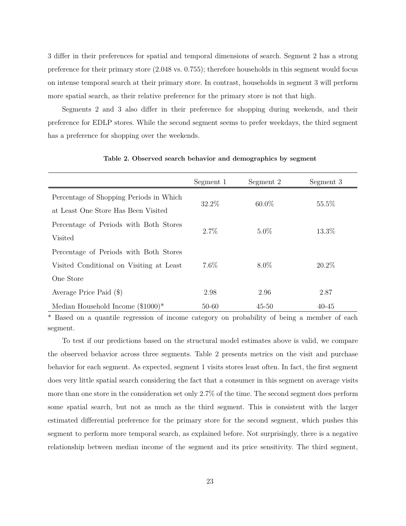3 differ in their preferences for spatial and temporal dimensions of search. Segment 2 has a strong preference for their primary store (2.048 vs. 0.755); therefore households in this segment would focus on intense temporal search at their primary store. In contrast, households in segment 3 will perform more spatial search, as their relative preference for the primary store is not that high.

Segments 2 and 3 also differ in their preference for shopping during weekends, and their preference for EDLP stores. While the second segment seems to prefer weekdays, the third segment has a preference for shopping over the weekends.

|                                          | Segment 1 | Segment 2 | Segment 3 |       |  |
|------------------------------------------|-----------|-----------|-----------|-------|--|
| Percentage of Shopping Periods in Which  |           |           |           |       |  |
| at Least One Store Has Been Visited      | 32.2%     | $60.0\%$  |           | 55.5% |  |
| Percentage of Periods with Both Stores   | $2.7\%$   |           |           |       |  |
| Visited                                  |           | $5.0\%$   | 13.3%     |       |  |
| Percentage of Periods with Both Stores   |           |           |           |       |  |
| Visited Conditional on Visiting at Least | $7.6\%$   | $8.0\%$   | 20.2\%    |       |  |
| One Store                                |           |           |           |       |  |
| Average Price Paid (\$)                  | 2.98      | 2.96      | 2.87      |       |  |
| Median Household Income $(\$1000)*$      | $50-60$   | $45 - 50$ | $40 - 45$ |       |  |

#### **Table 2. Observed search behavior and demographics by segment**

\* Based on a quantile regression of income category on probability of being a member of each segment.

To test if our predictions based on the structural model estimates above is valid, we compare the observed behavior across three segments. Table 2 presents metrics on the visit and purchase behavior for each segment. As expected, segment 1 visits stores least often. In fact, the first segment does very little spatial search considering the fact that a consumer in this segment on average visits more than one store in the consideration set only 2.7% of the time. The second segment does perform some spatial search, but not as much as the third segment. This is consistent with the larger estimated differential preference for the primary store for the second segment, which pushes this segment to perform more temporal search, as explained before. Not surprisingly, there is a negative relationship between median income of the segment and its price sensitivity. The third segment,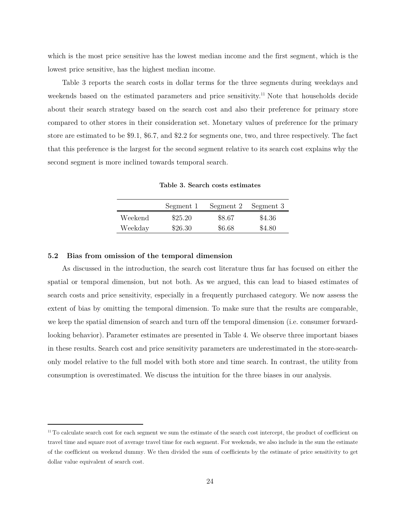which is the most price sensitive has the lowest median income and the first segment, which is the lowest price sensitive, has the highest median income.

Table 3 reports the search costs in dollar terms for the three segments during weekdays and weekends based on the estimated parameters and price sensitivity.<sup>11</sup> Note that households decide about their search strategy based on the search cost and also their preference for primary store compared to other stores in their consideration set. Monetary values of preference for the primary store are estimated to be \$9.1, \$6.7, and \$2.2 for segments one, two, and three respectively. The fact that this preference is the largest for the second segment relative to its search cost explains why the second segment is more inclined towards temporal search.

**Table 3. Search costs estimates** 

|         | Segment 1 |        | Segment 2 Segment 3 |
|---------|-----------|--------|---------------------|
| Weekend | \$25.20   | \$8.67 | \$4.36              |
| Weekday | \$26.30   | \$6.68 | \$4.80              |

#### **5.2 Bias from omission of the temporal dimension**

As discussed in the introduction, the search cost literature thus far has focused on either the spatial or temporal dimension, but not both. As we argued, this can lead to biased estimates of search costs and price sensitivity, especially in a frequently purchased category. We now assess the extent of bias by omitting the temporal dimension. To make sure that the results are comparable, we keep the spatial dimension of search and turn off the temporal dimension (i.e. consumer forwardlooking behavior). Parameter estimates are presented in Table 4. We observe three important biases in these results. Search cost and price sensitivity parameters are underestimated in the store-searchonly model relative to the full model with both store and time search. In contrast, the utility from consumption is overestimated. We discuss the intuition for the three biases in our analysis.

<sup>&</sup>lt;sup>11</sup> To calculate search cost for each segment we sum the estimate of the search cost intercept, the product of coefficient on travel time and square root of average travel time for each segment. For weekends, we also include in the sum the estimate of the coefficient on weekend dummy. We then divided the sum of coefficients by the estimate of price sensitivity to get dollar value equivalent of search cost.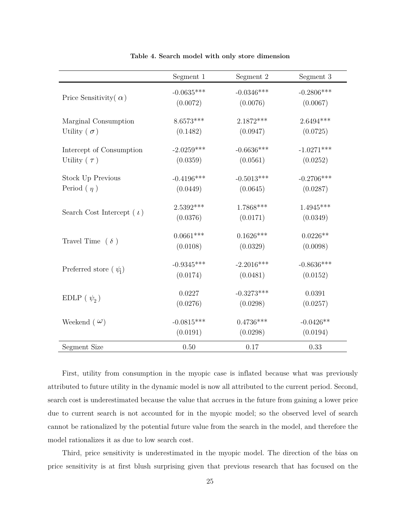|                                 | Segment 1             | Segment 2             | Segment 3               |
|---------------------------------|-----------------------|-----------------------|-------------------------|
|                                 | $-0.0635***$          | $-0.0346***$          | $-0.2806***$            |
| Price Sensitivity( $\alpha$ )   | (0.0072)              | (0.0076)              | (0.0067)                |
| Marginal Consumption            | $8.6573***$           | 2.1872***             | $2.6494***$             |
| Utility ( $\sigma$ )            | (0.1482)              | (0.0947)              | (0.0725)                |
| Intercept of Consumption        | $-2.0259***$          | $-0.6636***$          | $-1.0271***$            |
| Utility ( $\tau$ )              | (0.0359)              | (0.0561)              | (0.0252)                |
| <b>Stock Up Previous</b>        | $-0.4196***$          | $-0.5013***$          | $-0.2706***$            |
| Period $(\eta)$                 | (0.0449)              | (0.0645)              | (0.0287)                |
|                                 |                       |                       |                         |
| Search Cost Intercept $(\iota)$ | 2.5392***<br>(0.0376) | 1.7868***<br>(0.0171) | $1.4945***$<br>(0.0349) |
|                                 |                       |                       |                         |
| Travel Time $(\delta)$          | $0.0661***$           | $0.1626***$           | $0.0226**$              |
|                                 | (0.0108)              | (0.0329)              | (0.0098)                |
|                                 | $-0.9345***$          | $-2.2016***$          | $-0.8636***$            |
| Preferred store $(\psi_1)$      | (0.0174)              | (0.0481)              | (0.0152)                |
| EDLP $(\psi_2)$                 | 0.0227                | $-0.3273***$          | 0.0391                  |
|                                 | (0.0276)              | (0.0298)              | (0.0257)                |
| Weekend $(\omega)$              | $-0.0815***$          | $0.4736***$           | $-0.0426**$             |
|                                 | (0.0191)              | (0.0298)              | (0.0194)                |
| Segment Size                    | 0.50                  | 0.17                  | 0.33                    |

**Table 4. Search model with only store dimension** 

First, utility from consumption in the myopic case is inflated because what was previously attributed to future utility in the dynamic model is now all attributed to the current period. Second, search cost is underestimated because the value that accrues in the future from gaining a lower price due to current search is not accounted for in the myopic model; so the observed level of search cannot be rationalized by the potential future value from the search in the model, and therefore the model rationalizes it as due to low search cost.

Third, price sensitivity is underestimated in the myopic model. The direction of the bias on price sensitivity is at first blush surprising given that previous research that has focused on the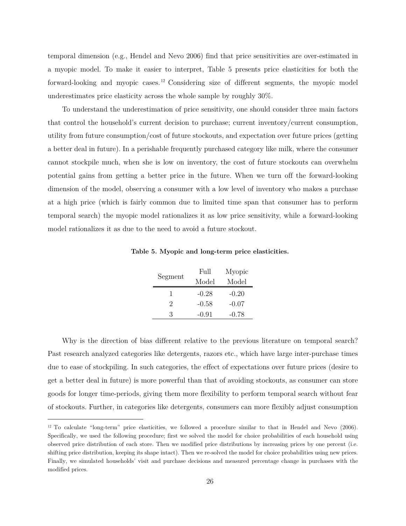temporal dimension (e.g., Hendel and Nevo 2006) find that price sensitivities are over-estimated in a myopic model. To make it easier to interpret, Table 5 presents price elasticities for both the forward-looking and myopic cases. 12 Considering size of different segments, the myopic model underestimates price elasticity across the whole sample by roughly 30%.

To understand the underestimation of price sensitivity, one should consider three main factors that control the household's current decision to purchase; current inventory/current consumption, utility from future consumption/cost of future stockouts, and expectation over future prices (getting a better deal in future). In a perishable frequently purchased category like milk, where the consumer cannot stockpile much, when she is low on inventory, the cost of future stockouts can overwhelm potential gains from getting a better price in the future. When we turn off the forward-looking dimension of the model, observing a consumer with a low level of inventory who makes a purchase at a high price (which is fairly common due to limited time span that consumer has to perform temporal search) the myopic model rationalizes it as low price sensitivity, while a forward-looking model rationalizes it as due to the need to avoid a future stockout.

| Segment | Full    | Myopic  |
|---------|---------|---------|
|         | Model   | Model   |
| 1       | $-0.28$ | $-0.20$ |
| 2       | $-0.58$ | $-0.07$ |
| 3       | $-0.91$ | $-0.78$ |

**Table 5. Myopic and long-term price elasticities.** 

Why is the direction of bias different relative to the previous literature on temporal search? Past research analyzed categories like detergents, razors etc., which have large inter-purchase times due to ease of stockpiling. In such categories, the effect of expectations over future prices (desire to get a better deal in future) is more powerful than that of avoiding stockouts, as consumer can store goods for longer time-periods, giving them more flexibility to perform temporal search without fear of stockouts. Further, in categories like detergents, consumers can more flexibly adjust consumption

<sup>&</sup>lt;sup>12</sup> To calculate "long-term" price elasticities, we followed a procedure similar to that in Hendel and Nevo (2006). Specifically, we used the following procedure; first we solved the model for choice probabilities of each household using observed price distribution of each store. Then we modified price distributions by increasing prices by one percent (i.e. shifting price distribution, keeping its shape intact). Then we re-solved the model for choice probabilities using new prices. Finally, we simulated households' visit and purchase decisions and measured percentage change in purchases with the modified prices.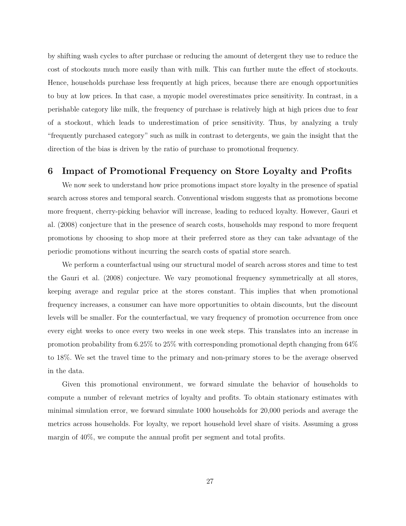by shifting wash cycles to after purchase or reducing the amount of detergent they use to reduce the cost of stockouts much more easily than with milk. This can further mute the effect of stockouts. Hence, households purchase less frequently at high prices, because there are enough opportunities to buy at low prices. In that case, a myopic model overestimates price sensitivity. In contrast, in a perishable category like milk, the frequency of purchase is relatively high at high prices due to fear of a stockout, which leads to underestimation of price sensitivity. Thus, by analyzing a truly "frequently purchased category" such as milk in contrast to detergents, we gain the insight that the direction of the bias is driven by the ratio of purchase to promotional frequency.

### **6 Impact of Promotional Frequency on Store Loyalty and Profits**

We now seek to understand how price promotions impact store loyalty in the presence of spatial search across stores and temporal search. Conventional wisdom suggests that as promotions become more frequent, cherry-picking behavior will increase, leading to reduced loyalty. However, Gauri et al. (2008) conjecture that in the presence of search costs, households may respond to more frequent promotions by choosing to shop more at their preferred store as they can take advantage of the periodic promotions without incurring the search costs of spatial store search.

We perform a counterfactual using our structural model of search across stores and time to test the Gauri et al. (2008) conjecture. We vary promotional frequency symmetrically at all stores, keeping average and regular price at the stores constant. This implies that when promotional frequency increases, a consumer can have more opportunities to obtain discounts, but the discount levels will be smaller. For the counterfactual, we vary frequency of promotion occurrence from once every eight weeks to once every two weeks in one week steps. This translates into an increase in promotion probability from 6.25% to 25% with corresponding promotional depth changing from 64% to 18%. We set the travel time to the primary and non-primary stores to be the average observed in the data.

Given this promotional environment, we forward simulate the behavior of households to compute a number of relevant metrics of loyalty and profits. To obtain stationary estimates with minimal simulation error, we forward simulate 1000 households for 20,000 periods and average the metrics across households. For loyalty, we report household level share of visits. Assuming a gross margin of 40%, we compute the annual profit per segment and total profits.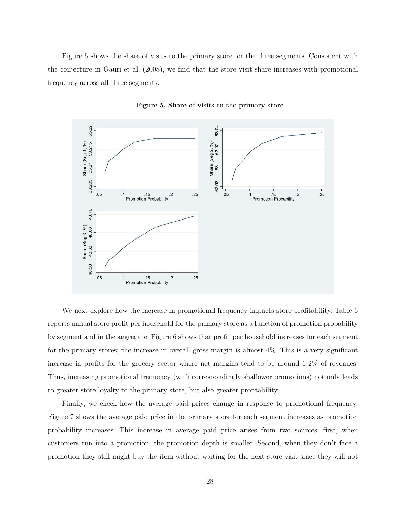Figure 5 shows the share of visits to the primary store for the three segments. Consistent with the conjecture in Gauri et al. (2008), we find that the store visit share increases with promotional frequency across all three segments.



**Figure 5. Share of visits to the primary store** 

We next explore how the increase in promotional frequency impacts store profitability. Table 6 reports annual store profit per household for the primary store as a function of promotion probability by segment and in the aggregate. Figure 6 shows that profit per household increases for each segment for the primary stores; the increase in overall gross margin is almost 4%. This is a very significant increase in profits for the grocery sector where net margins tend to be around 1-2% of revenues. Thus, increasing promotional frequency (with correspondingly shallower promotions) not only leads to greater store loyalty to the primary store, but also greater profitability.

Finally, we check how the average paid prices change in response to promotional frequency. Figure 7 shows the average paid price in the primary store for each segment increases as promotion probability increases. This increase in average paid price arises from two sources; first, when customers run into a promotion, the promotion depth is smaller. Second, when they don't face a promotion they still might buy the item without waiting for the next store visit since they will not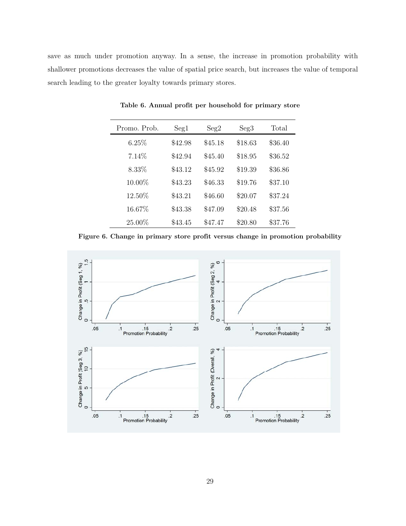save as much under promotion anyway. In a sense, the increase in promotion probability with shallower promotions decreases the value of spatial price search, but increases the value of temporal search leading to the greater loyalty towards primary stores.

| Promo. Prob. | Seg1    | Seg2    | Seg3    | Total   |
|--------------|---------|---------|---------|---------|
| 6.25%        | \$42.98 | \$45.18 | \$18.63 | \$36.40 |
| $7.14\%$     | \$42.94 | \$45.40 | \$18.95 | \$36.52 |
| 8.33\%       | \$43.12 | \$45.92 | \$19.39 | \$36.86 |
| $10.00\%$    | \$43.23 | \$46.33 | \$19.76 | \$37.10 |
| 12.50\%      | \$43.21 | \$46.60 | \$20.07 | \$37.24 |
| 16.67%       | \$43.38 | \$47.09 | \$20.48 | \$37.56 |
| 25.00%       | \$43.45 | \$47.47 | \$20.80 | \$37.76 |

**Table 6. Annual profit per household for primary store** 

**Figure 6. Change in primary store profit versus change in promotion probability** 

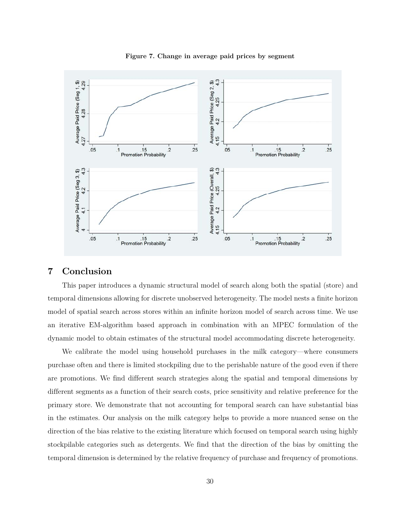

**Figure 7. Change in average paid prices by segment** 

## **7 Conclusion**

This paper introduces a dynamic structural model of search along both the spatial (store) and temporal dimensions allowing for discrete unobserved heterogeneity. The model nests a finite horizon model of spatial search across stores within an infinite horizon model of search across time. We use an iterative EM-algorithm based approach in combination with an MPEC formulation of the dynamic model to obtain estimates of the structural model accommodating discrete heterogeneity.

We calibrate the model using household purchases in the milk category—where consumers purchase often and there is limited stockpiling due to the perishable nature of the good even if there are promotions. We find different search strategies along the spatial and temporal dimensions by different segments as a function of their search costs, price sensitivity and relative preference for the primary store. We demonstrate that not accounting for temporal search can have substantial bias in the estimates. Our analysis on the milk category helps to provide a more nuanced sense on the direction of the bias relative to the existing literature which focused on temporal search using highly stockpilable categories such as detergents. We find that the direction of the bias by omitting the temporal dimension is determined by the relative frequency of purchase and frequency of promotions.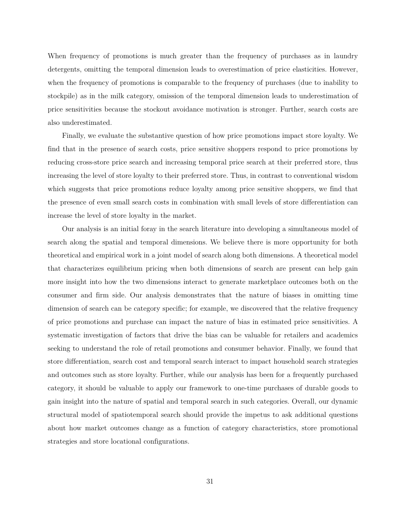When frequency of promotions is much greater than the frequency of purchases as in laundry detergents, omitting the temporal dimension leads to overestimation of price elasticities. However, when the frequency of promotions is comparable to the frequency of purchases (due to inability to stockpile) as in the milk category, omission of the temporal dimension leads to underestimation of price sensitivities because the stockout avoidance motivation is stronger. Further, search costs are also underestimated.

Finally, we evaluate the substantive question of how price promotions impact store loyalty. We find that in the presence of search costs, price sensitive shoppers respond to price promotions by reducing cross-store price search and increasing temporal price search at their preferred store, thus increasing the level of store loyalty to their preferred store. Thus, in contrast to conventional wisdom which suggests that price promotions reduce loyalty among price sensitive shoppers, we find that the presence of even small search costs in combination with small levels of store differentiation can increase the level of store loyalty in the market.

Our analysis is an initial foray in the search literature into developing a simultaneous model of search along the spatial and temporal dimensions. We believe there is more opportunity for both theoretical and empirical work in a joint model of search along both dimensions. A theoretical model that characterizes equilibrium pricing when both dimensions of search are present can help gain more insight into how the two dimensions interact to generate marketplace outcomes both on the consumer and firm side. Our analysis demonstrates that the nature of biases in omitting time dimension of search can be category specific; for example, we discovered that the relative frequency of price promotions and purchase can impact the nature of bias in estimated price sensitivities. A systematic investigation of factors that drive the bias can be valuable for retailers and academics seeking to understand the role of retail promotions and consumer behavior. Finally, we found that store differentiation, search cost and temporal search interact to impact household search strategies and outcomes such as store loyalty. Further, while our analysis has been for a frequently purchased category, it should be valuable to apply our framework to one-time purchases of durable goods to gain insight into the nature of spatial and temporal search in such categories. Overall, our dynamic structural model of spatiotemporal search should provide the impetus to ask additional questions about how market outcomes change as a function of category characteristics, store promotional strategies and store locational configurations.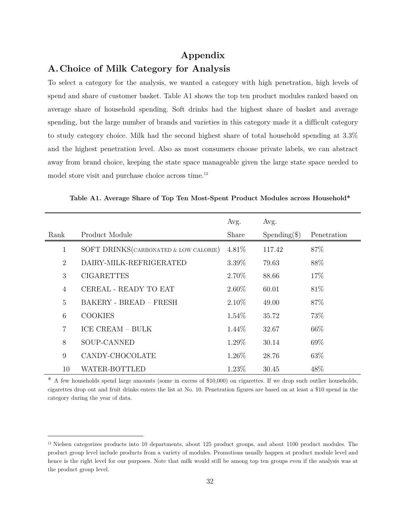## **Appendix**

## **A.Choice of Milk Category for Analysis**

To select a category for the analysis, we wanted a category with high penetration, high levels of spend and share of customer basket. Table A1 shows the top ten product modules ranked based on average share of household spending. Soft drinks had the highest share of basket and average spending, but the large number of brands and varieties in this category made it a difficult category to study category choice. Milk had the second highest share of total household spending at 3.3% and the highest penetration level. Also as most consumers choose private labels, we can abstract away from brand choice, keeping the state space manageable given the large state space needed to model store visit and purchase choice across time.<sup>13</sup>

|                |                                        | Avg.     | Avg.                             |             |
|----------------|----------------------------------------|----------|----------------------------------|-------------|
| Rank           | Product Module                         | Share    | $Spending(\text{\textsterling})$ | Penetration |
| $\mathbf{1}$   | SOFT DRINKS (CARBONATED & LOW CALORIE) | 4.81\%   | 117.42                           | 87%         |
| $\overline{2}$ | DAIRY-MILK-REFRIGERATED                | 3.39%    | 79.63                            | 88%         |
| 3              | <b>CIGARETTES</b>                      | $2.70\%$ | 88.66                            | 17\%        |
| $\overline{4}$ | CEREAL - READY TO EAT                  | $2.60\%$ | 60.01                            | 81\%        |
| 5              | BAKERY - BREAD - FRESH                 | $2.10\%$ | 49.00                            | 87\%        |
| 6              | <b>COOKIES</b>                         | $1.54\%$ | 35.72                            | 73\%        |
| $\overline{7}$ | <b>ICE CREAM - BULK</b>                | $1.44\%$ | 32.67                            | 66\%        |
| 8              | SOUP-CANNED                            | $1.29\%$ | 30.14                            | 69\%        |
| 9              | CANDY-CHOCOLATE                        | $1.26\%$ | 28.76                            | 63%         |
| 10             | WATER-BOTTLED                          | 1.23\%   | 30.45                            | 48\%        |

**Table A1. Average Share of Top Ten Most-Spent Product Modules across Household\*** 

\* A few households spend large amounts (some in excess of \$10,000) on cigarettes. If we drop such outlier households, cigarettes drop out and fruit drinks enters the list at No. 10. Penetration figures are based on at least a \$10 spend in the category during the year of data.

<sup>&</sup>lt;sup>13</sup> Nielsen categorizes products into 10 departments, about 125 product groups, and about 1100 product modules. The product group level include products from a variety of modules. Promotions usually happen at product module level and hence is the right level for our purposes. Note that milk would still be among top ten groups even if the analysis was at the product group level.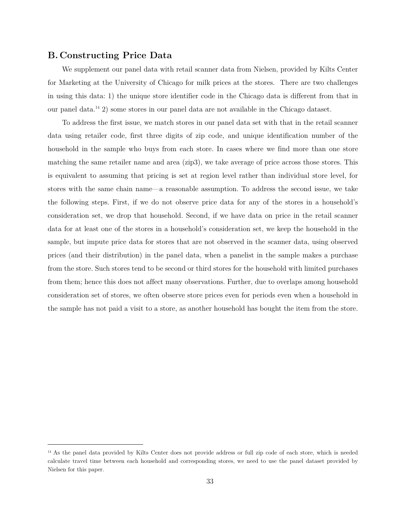### **B. Constructing Price Data**

We supplement our panel data with retail scanner data from Nielsen, provided by Kilts Center for Marketing at the University of Chicago for milk prices at the stores. There are two challenges in using this data: 1) the unique store identifier code in the Chicago data is different from that in our panel data.14 2) some stores in our panel data are not available in the Chicago dataset.

To address the first issue, we match stores in our panel data set with that in the retail scanner data using retailer code, first three digits of zip code, and unique identification number of the household in the sample who buys from each store. In cases where we find more than one store matching the same retailer name and area (zip3), we take average of price across those stores. This is equivalent to assuming that pricing is set at region level rather than individual store level, for stores with the same chain name—a reasonable assumption. To address the second issue, we take the following steps. First, if we do not observe price data for any of the stores in a household's consideration set, we drop that household. Second, if we have data on price in the retail scanner data for at least one of the stores in a household's consideration set, we keep the household in the sample, but impute price data for stores that are not observed in the scanner data, using observed prices (and their distribution) in the panel data, when a panelist in the sample makes a purchase from the store. Such stores tend to be second or third stores for the household with limited purchases from them; hence this does not affect many observations. Further, due to overlaps among household consideration set of stores, we often observe store prices even for periods even when a household in the sample has not paid a visit to a store, as another household has bought the item from the store.

<sup>&</sup>lt;sup>14</sup> As the panel data provided by Kilts Center does not provide address or full zip code of each store, which is needed calculate travel time between each household and corresponding stores, we need to use the panel dataset provided by Nielsen for this paper.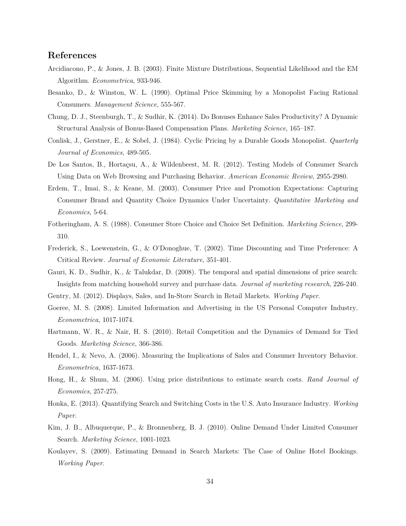### **References**

- Arcidiacono, P., & Jones, J. B. (2003). Finite Mixture Distributions, Sequential Likelihood and the EM Algorithm. *Econometrica*, 933-946.
- Besanko, D., & Winston, W. L. (1990). Optimal Price Skimming by a Monopolist Facing Rational Consumers. *Management Science*, 555-567.
- Chung, D. J., Steenburgh, T., & Sudhir, K. (2014). Do Bonuses Enhance Sales Productivity? A Dynamic Structural Analysis of Bonus-Based Compensation Plans. *Marketing Science*, 165–187.
- Conlisk, J., Gerstner, E., & Sobel, J. (1984). Cyclic Pricing by a Durable Goods Monopolist. *Quarterly Journal of Economics*, 489-505.
- De Los Santos, B., Hortaçsu, A., & Wildenbeest, M. R. (2012). Testing Models of Consumer Search Using Data on Web Browsing and Purchasing Behavior. *American Economic Review*, 2955-2980.
- Erdem, T., Imai, S., & Keane, M. (2003). Consumer Price and Promotion Expectations: Capturing Consumer Brand and Quantity Choice Dynamics Under Uncertainty. *Quantitative Marketing and Economics*, 5-64.
- Fotheringham, A. S. (1988). Consumer Store Choice and Choice Set Definition. *Marketing Science*, 299- 310.
- Frederick, S., Loewenstein, G., & O'Donoghue, T. (2002). Time Discounting and Time Preference: A Critical Review. *Journal of Economic Literature*, 351-401.
- Gauri, K. D., Sudhir, K., & Talukdar, D. (2008). The temporal and spatial dimensions of price search: Insights from matching household survey and purchase data. *Journal of marketing research*, 226-240.
- Gentry, M. (2012). Displays, Sales, and In-Store Search in Retail Markets. *Working Paper*.
- Goeree, M. S. (2008). Limited Information and Advertising in the US Personal Computer Industry. *Econometrica*, 1017-1074.
- Hartmann, W. R., & Nair, H. S. (2010). Retail Competition and the Dynamics of Demand for Tied Goods. *Marketing Science*, 366-386.
- Hendel, I., & Nevo, A. (2006). Measuring the Implications of Sales and Consumer Inventory Behavior. *Econometrica*, 1637-1673.
- Hong, H., & Shum, M. (2006). Using price distributions to estimate search costs. *Rand Journal of Economics*, 257-275.
- Honka, E. (2013). Quantifying Search and Switching Costs in the U.S. Auto Insurance Industry. *Working Paper*.
- Kim, J. B., Albuquerque, P., & Bronnenberg, B. J. (2010). Online Demand Under Limited Consumer Search. *Marketing Science*, 1001-1023.
- Koulayev, S. (2009). Estimating Demand in Search Markets: The Case of Online Hotel Bookings. *Working Paper*.